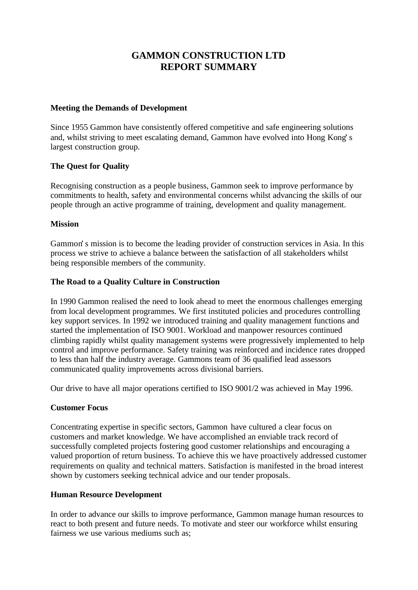# **GAMMON CONSTRUCTION LTD REPORT SUMMARY**

#### **Meeting the Demands of Development**

Since 1955 Gammon have consistently offered competitive and safe engineering solutions and, whilst striving to meet escalating demand, Gammon have evolved into Hong Kong's largest construction group.

## **The Quest for Quality**

Recognising construction as a people business, Gammon seek to improve performance by commitments to health, safety and environmental concerns whilst advancing the skills of our people through an active programme of training, development and quality management.

## **Mission**

Gammon's mission is to become the leading provider of construction services in Asia. In this process we strive to achieve a balance between the satisfaction of all stakeholders whilst being responsible members of the community.

## **The Road to a Quality Culture in Construction**

In 1990 Gammon realised the need to look ahead to meet the enormous challenges emerging from local development programmes. We first instituted policies and procedures controlling key support services. In 1992 we introduced training and quality management functions and started the implementation of ISO 9001. Workload and manpower resources continued climbing rapidly whilst quality management systems were progressively implemented to help control and improve performance. Safety training was reinforced and incidence rates dropped to less than half the industry average. Gammons team of 36 qualified lead assessors communicated quality improvements across divisional barriers.

Our drive to have all major operations certified to ISO 9001/2 was achieved in May 1996.

# **Customer Focus**

Concentrating expertise in specific sectors, Gammon have cultured a clear focus on customers and market knowledge. We have accomplished an enviable track record of successfully completed projects fostering good customer relationships and encouraging a valued proportion of return business. To achieve this we have proactively addressed customer requirements on quality and technical matters. Satisfaction is manifested in the broad interest shown by customers seeking technical advice and our tender proposals.

# **Human Resource Development**

In order to advance our skills to improve performance, Gammon manage human resources to react to both present and future needs. To motivate and steer our workforce whilst ensuring fairness we use various mediums such as;